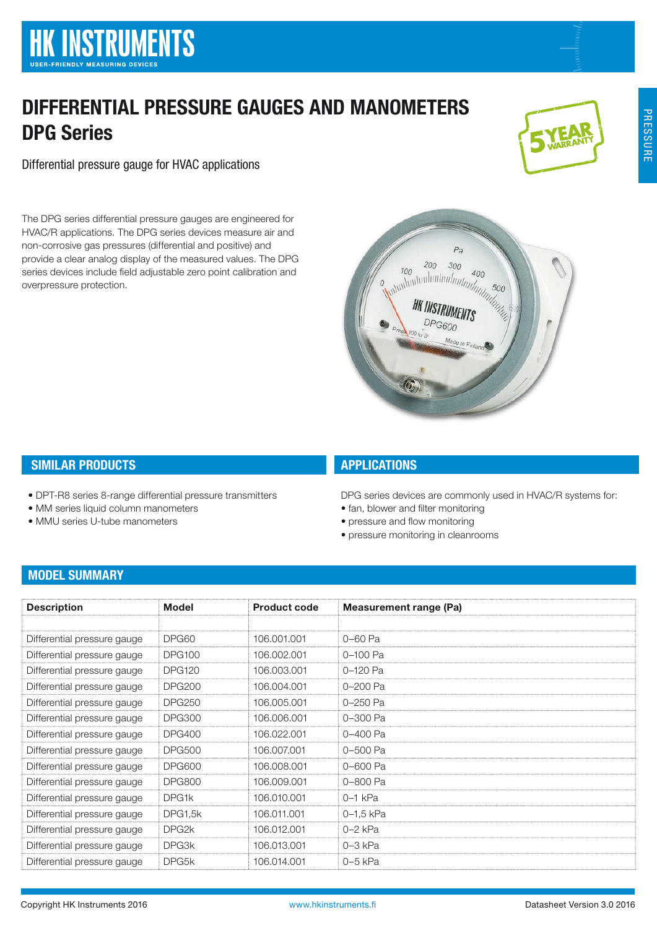# DIFFERENTIAL PRESSURE GAUGES AND MANOMETERS DPG Series

Differential pressure gauge for HVAC applications

The DPG series differential pressure gauges are engineered for HVAC/R applications. The DPG series devices measure air and non-corrosive gas pressures (differential and positive) and provide a clear analog display of the measured values. The DPG series devices include field adjustable zero point calibration and overpressure protection.







# SIMILAR PRODUCTS

- DPT-R8 series 8-range differential pressure transmitters
- MM series liquid column manometers
- MMU series U-tube manometers

# **APPLICATIONS**

DPG series devices are commonly used in HVAC/R systems for:

- fan, blower and filter monitoring
- pressure and flow monitoring
- pressure monitoring in cleanrooms

# MODEL SUMMARY

| <b>Description</b>          | Model              | <b>Product code</b> | <b>Measurement range (Pa)</b> |
|-----------------------------|--------------------|---------------------|-------------------------------|
|                             |                    |                     |                               |
| Differential pressure gauge | DPG60              | 106.001.001         | 0-60 Pa                       |
| Differential pressure gauge | <b>DPG100</b>      | 106.002.001         | 0-100 Pa                      |
| Differential pressure gauge | <b>DPG120</b>      | 106.003.001         | 0-120 Pa                      |
| Differential pressure gauge | <b>DPG200</b>      | 106.004.001         | 0-200 Pa                      |
| Differential pressure gauge | <b>DPG250</b>      | 106.005.001         | 0-250 Pa                      |
| Differential pressure gauge | <b>DPG300</b>      | 106,006,001         | 0-300 Pa                      |
| Differential pressure gauge | <b>DPG400</b>      | 106.022.001         | 0-400 Pa                      |
| Differential pressure gauge | <b>DPG500</b>      | 106,007,001         | 0-500 Pa                      |
| Differential pressure gauge | <b>DPG600</b>      | 106.008.001         | 0-600 Pa                      |
| Differential pressure gauge | <b>DPG800</b>      | 106.009.001         | 0-800 Pa                      |
| Differential pressure gauge | DPG1k              | 106.010.001         | $0-1$ kPa                     |
| Differential pressure gauge | DPG1,5k            | 106.011.001         | $0 - 1.5$ kPa                 |
| Differential pressure gauge | DPG <sub>2</sub> k | 106.012.001         | $0-2$ kPa                     |
| Differential pressure gauge | DPG3k              | 106.013.001         | $0-3$ kPa                     |
| Differential pressure gauge | DPG <sub>5</sub> k | 106.014.001         | $0-5$ kPa                     |